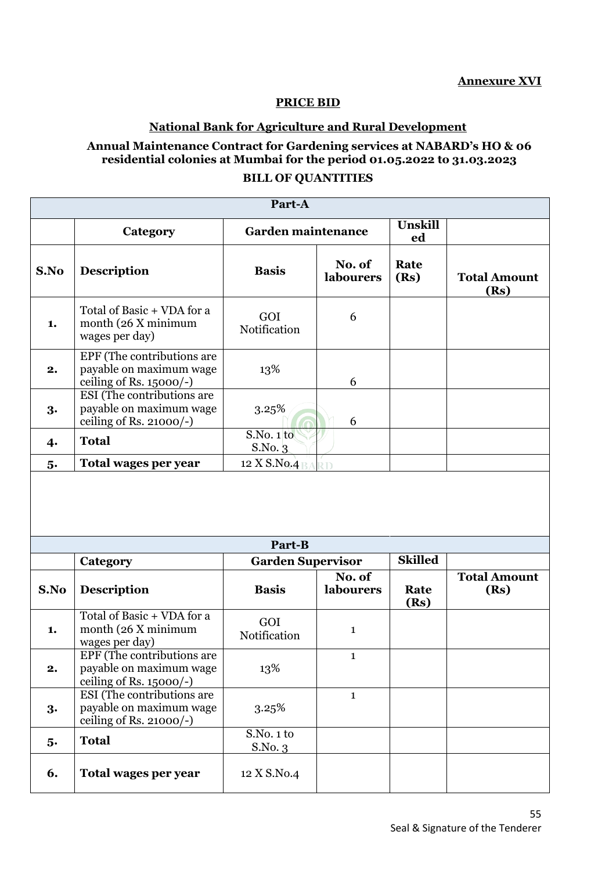### **PRICE BID**

## **National Bank for Agriculture and Rural Development**

# **Annual Maintenance Contract for Gardening services at NABARD's HO & 06 residential colonies at Mumbai for the period 01.05.2022 to 31.03.2023**

### **BILL OF QUANTITIES**

| Part-A |                                                                                     |                           |                            |                |                             |  |  |
|--------|-------------------------------------------------------------------------------------|---------------------------|----------------------------|----------------|-----------------------------|--|--|
|        | Category                                                                            | <b>Garden maintenance</b> |                            | Unskill<br>ed  |                             |  |  |
| S.No   | <b>Description</b>                                                                  | <b>Basis</b>              | No. of<br>labourers        | Rate<br>(Rs)   | <b>Total Amount</b><br>(Rs) |  |  |
| 1.     | Total of Basic + VDA for a<br>month (26 X minimum<br>wages per day)                 | GOI<br>Notification       | 6                          |                |                             |  |  |
| 2.     | EPF (The contributions are<br>payable on maximum wage<br>ceiling of Rs. $15000/-$ ) | 13%                       | 6                          |                |                             |  |  |
| 3.     | ESI (The contributions are<br>payable on maximum wage<br>ceiling of Rs. $21000/-$ ) | 3.25%                     | 6                          |                |                             |  |  |
| 4.     | <b>Total</b>                                                                        | S.No. 1 to<br>S.No. 3     |                            |                |                             |  |  |
| 5.     | Total wages per year                                                                | 12 X S.No.4               | 2D                         |                |                             |  |  |
| Part-B |                                                                                     |                           |                            |                |                             |  |  |
|        | Category                                                                            | <b>Garden Supervisor</b>  |                            | <b>Skilled</b> |                             |  |  |
| S.No   | <b>Description</b>                                                                  | <b>Basis</b>              | No. of<br><b>labourers</b> | Rate<br>(Rs)   | <b>Total Amount</b><br>(Rs) |  |  |
| 1.     | Total of Basic + VDA for a<br>month (26 X minimum<br>wages per day)                 | GOI<br>Notification       | $\mathbf{1}$               |                |                             |  |  |
| 2.     | EPF (The contributions are<br>payable on maximum wage<br>ceiling of Rs. $15000/-$ ) | 13%                       | $\mathbf{1}$               |                |                             |  |  |
| 3.     | ESI (The contributions are<br>payable on maximum wage<br>ceiling of Rs. 21000/-)    | 3.25%                     | $\mathbf{1}$               |                |                             |  |  |
| 5.     | <b>Total</b>                                                                        | S.No. 1 to<br>S.No. 3     |                            |                |                             |  |  |
| 6.     | Total wages per year                                                                | 12 X S.No.4               |                            |                |                             |  |  |